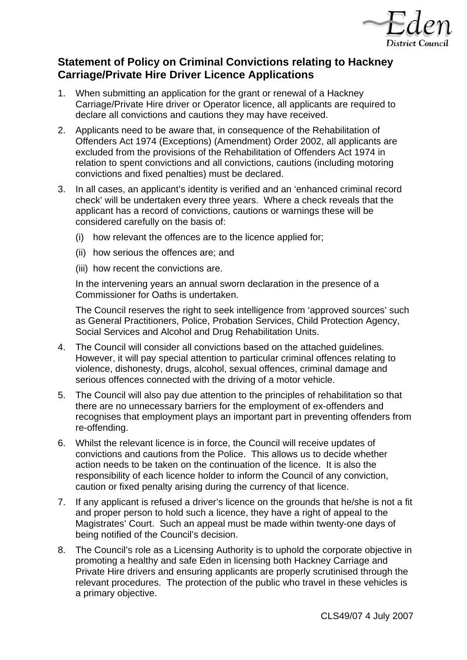

# **Statement of Policy on Criminal Convictions relating to Hackney Carriage/Private Hire Driver Licence Applications**

- 1. When submitting an application for the grant or renewal of a Hackney Carriage/Private Hire driver or Operator licence, all applicants are required to declare all convictions and cautions they may have received.
- 2. Applicants need to be aware that, in consequence of the Rehabilitation of Offenders Act 1974 (Exceptions) (Amendment) Order 2002, all applicants are excluded from the provisions of the Rehabilitation of Offenders Act 1974 in relation to spent convictions and all convictions, cautions (including motoring convictions and fixed penalties) must be declared.
- 3. In all cases, an applicant's identity is verified and an 'enhanced criminal record check' will be undertaken every three years. Where a check reveals that the applicant has a record of convictions, cautions or warnings these will be considered carefully on the basis of:
	- (i) how relevant the offences are to the licence applied for;
	- (ii) how serious the offences are; and
	- (iii) how recent the convictions are.

In the intervening years an annual sworn declaration in the presence of a Commissioner for Oaths is undertaken.

The Council reserves the right to seek intelligence from 'approved sources' such as General Practitioners, Police, Probation Services, Child Protection Agency, Social Services and Alcohol and Drug Rehabilitation Units.

- 4. The Council will consider all convictions based on the attached guidelines. However, it will pay special attention to particular criminal offences relating to violence, dishonesty, drugs, alcohol, sexual offences, criminal damage and serious offences connected with the driving of a motor vehicle.
- 5. The Council will also pay due attention to the principles of rehabilitation so that there are no unnecessary barriers for the employment of ex-offenders and recognises that employment plays an important part in preventing offenders from re-offending.
- 6. Whilst the relevant licence is in force, the Council will receive updates of convictions and cautions from the Police. This allows us to decide whether action needs to be taken on the continuation of the licence. It is also the responsibility of each licence holder to inform the Council of any conviction, caution or fixed penalty arising during the currency of that licence.
- 7. If any applicant is refused a driver's licence on the grounds that he/she is not a fit and proper person to hold such a licence, they have a right of appeal to the Magistrates' Court. Such an appeal must be made within twenty-one days of being notified of the Council's decision.
- 8. The Council's role as a Licensing Authority is to uphold the corporate objective in promoting a healthy and safe Eden in licensing both Hackney Carriage and Private Hire drivers and ensuring applicants are properly scrutinised through the relevant procedures. The protection of the public who travel in these vehicles is a primary objective.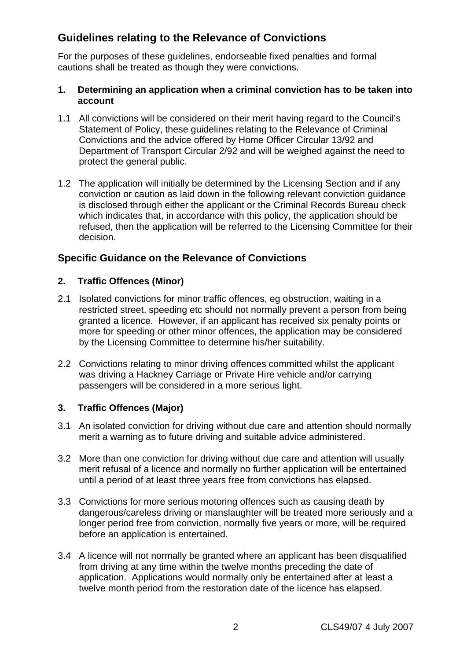# **Guidelines relating to the Relevance of Convictions**

For the purposes of these guidelines, endorseable fixed penalties and formal cautions shall be treated as though they were convictions.

#### **1. Determining an application when a criminal conviction has to be taken into account**

- 1.1 All convictions will be considered on their merit having regard to the Council's Statement of Policy, these guidelines relating to the Relevance of Criminal Convictions and the advice offered by Home Officer Circular 13/92 and Department of Transport Circular 2/92 and will be weighed against the need to protect the general public.
- 1.2 The application will initially be determined by the Licensing Section and if any conviction or caution as laid down in the following relevant conviction guidance is disclosed through either the applicant or the Criminal Records Bureau check which indicates that, in accordance with this policy, the application should be refused, then the application will be referred to the Licensing Committee for their decision.

## **Specific Guidance on the Relevance of Convictions**

#### **2. Traffic Offences (Minor)**

- 2.1 Isolated convictions for minor traffic offences, eg obstruction, waiting in a restricted street, speeding etc should not normally prevent a person from being granted a licence. However, if an applicant has received six penalty points or more for speeding or other minor offences, the application may be considered by the Licensing Committee to determine his/her suitability.
- 2.2 Convictions relating to minor driving offences committed whilst the applicant was driving a Hackney Carriage or Private Hire vehicle and/or carrying passengers will be considered in a more serious light.

#### **3. Traffic Offences (Major)**

- 3.1 An isolated conviction for driving without due care and attention should normally merit a warning as to future driving and suitable advice administered.
- 3.2 More than one conviction for driving without due care and attention will usually merit refusal of a licence and normally no further application will be entertained until a period of at least three years free from convictions has elapsed.
- 3.3 Convictions for more serious motoring offences such as causing death by dangerous/careless driving or manslaughter will be treated more seriously and a longer period free from conviction, normally five years or more, will be required before an application is entertained.
- 3.4 A licence will not normally be granted where an applicant has been disqualified from driving at any time within the twelve months preceding the date of application. Applications would normally only be entertained after at least a twelve month period from the restoration date of the licence has elapsed.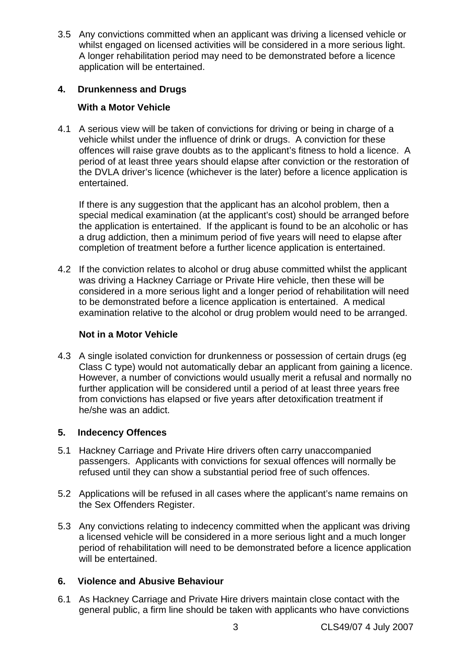3.5 Any convictions committed when an applicant was driving a licensed vehicle or whilst engaged on licensed activities will be considered in a more serious light. A longer rehabilitation period may need to be demonstrated before a licence application will be entertained.

## **4. Drunkenness and Drugs**

### **With a Motor Vehicle**

4.1 A serious view will be taken of convictions for driving or being in charge of a vehicle whilst under the influence of drink or drugs. A conviction for these offences will raise grave doubts as to the applicant's fitness to hold a licence. A period of at least three years should elapse after conviction or the restoration of the DVLA driver's licence (whichever is the later) before a licence application is entertained.

 If there is any suggestion that the applicant has an alcohol problem, then a special medical examination (at the applicant's cost) should be arranged before the application is entertained. If the applicant is found to be an alcoholic or has a drug addiction, then a minimum period of five years will need to elapse after completion of treatment before a further licence application is entertained.

4.2 If the conviction relates to alcohol or drug abuse committed whilst the applicant was driving a Hackney Carriage or Private Hire vehicle, then these will be considered in a more serious light and a longer period of rehabilitation will need to be demonstrated before a licence application is entertained. A medical examination relative to the alcohol or drug problem would need to be arranged.

#### **Not in a Motor Vehicle**

4.3 A single isolated conviction for drunkenness or possession of certain drugs (eg Class C type) would not automatically debar an applicant from gaining a licence. However, a number of convictions would usually merit a refusal and normally no further application will be considered until a period of at least three years free from convictions has elapsed or five years after detoxification treatment if he/she was an addict.

## **5. Indecency Offences**

- 5.1 Hackney Carriage and Private Hire drivers often carry unaccompanied passengers. Applicants with convictions for sexual offences will normally be refused until they can show a substantial period free of such offences.
- 5.2 Applications will be refused in all cases where the applicant's name remains on the Sex Offenders Register.
- 5.3 Any convictions relating to indecency committed when the applicant was driving a licensed vehicle will be considered in a more serious light and a much longer period of rehabilitation will need to be demonstrated before a licence application will be entertained.

#### **6. Violence and Abusive Behaviour**

6.1 As Hackney Carriage and Private Hire drivers maintain close contact with the general public, a firm line should be taken with applicants who have convictions